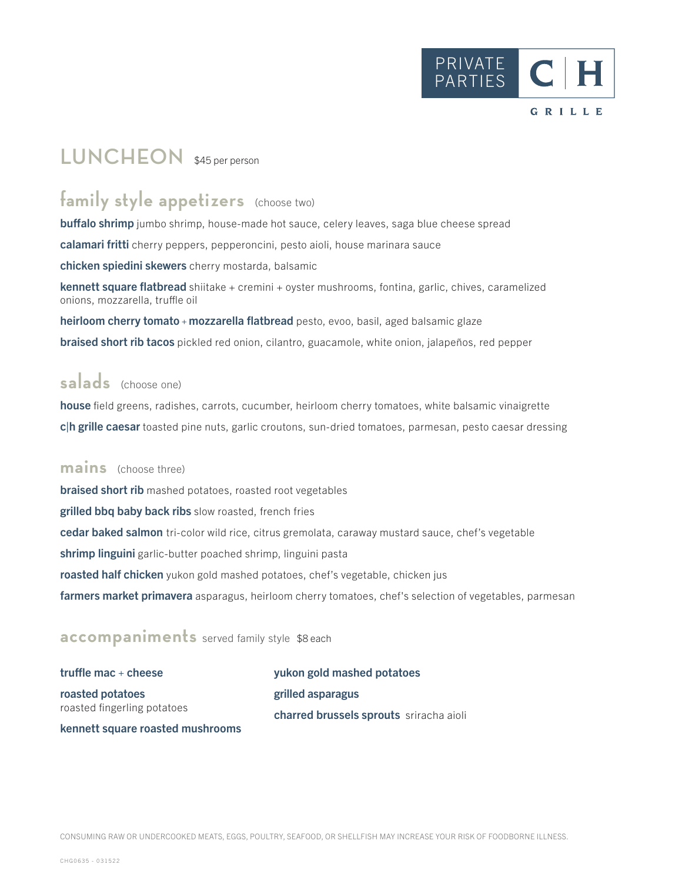

# LUNCHEON \$45 per person

## family style appetizers (choose two)

**buffalo shrimp** jumbo shrimp, house-made hot sauce, celery leaves, saga blue cheese spread calamari fritti cherry peppers, pepperoncini, pesto aioli, house marinara sauce chicken spiedini skewers cherry mostarda, balsamic

kennett square flatbread shiitake + cremini + oyster mushrooms, fontina, garlic, chives, caramelized onions, mozzarella, truffle oil

heirloom cherry tomato + mozzarella flatbread pesto, evoo, basil, aged balsamic glaze braised short rib tacos pickled red onion, cilantro, guacamole, white onion, jalapeños, red pepper

## **salads** (choose one)

house field greens, radishes, carrots, cucumber, heirloom cherry tomatoes, white balsamic vinaigrette c|h grille caesar toasted pine nuts, garlic croutons, sun-dried tomatoes, parmesan, pesto caesar dressing

#### **mains** (choose three)

**braised short rib** mashed potatoes, roasted root vegetables grilled bbq baby back ribs slow roasted, french fries cedar baked salmon tri-color wild rice, citrus gremolata, caraway mustard sauce, chef's vegetable shrimp linguini garlic-butter poached shrimp, linguini pasta roasted half chicken yukon gold mashed potatoes, chef's vegetable, chicken jus farmers market primavera asparagus, heirloom cherry tomatoes, chef's selection of vegetables, parmesan

#### **accompaniments** served family style \$8 each

truffle mac  $+$  cheese roasted potatoes roasted fingerling potatoes kennett square roasted mushrooms yukon gold mashed potatoes grilled asparagus charred brussels sprouts sriracha aioli

CONSUMING RAW OR UNDERCOOKED MEATS, EGGS, POULTRY, SEAFOOD, OR SHELLFISH MAY INCREASE YOUR RISK OF FOODBORNE ILLNESS.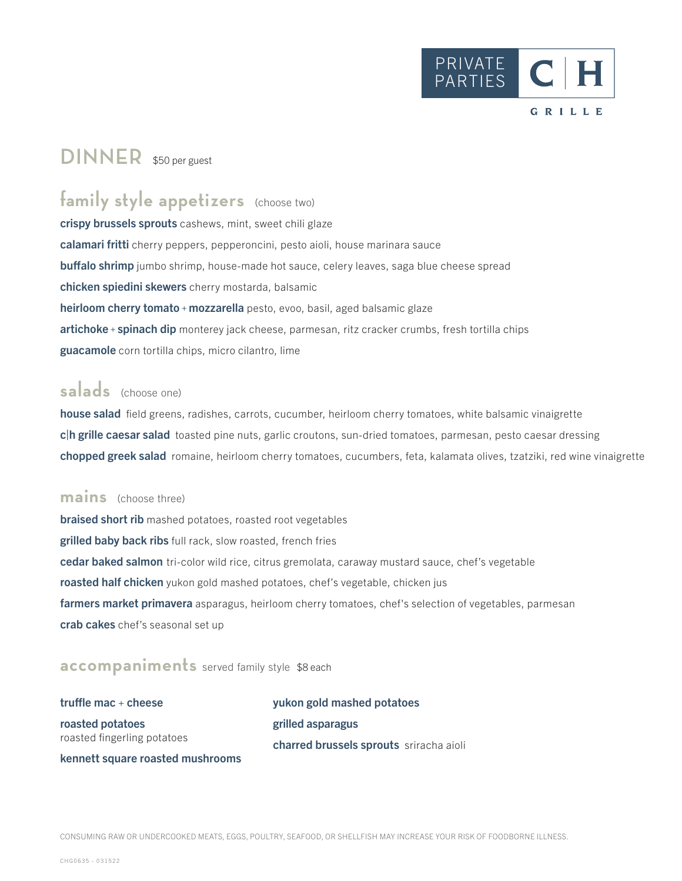

## **DINNER** \$50 per guest

## family style appetizers (choose two)

crispy brussels sprouts cashews, mint, sweet chili glaze calamari fritti cherry peppers, pepperoncini, pesto aioli, house marinara sauce buffalo shrimp jumbo shrimp, house-made hot sauce, celery leaves, saga blue cheese spread chicken spiedini skewers cherry mostarda, balsamic heirloom cherry tomato + mozzarella pesto, evoo, basil, aged balsamic glaze artichoke + spinach dip monterey jack cheese, parmesan, ritz cracker crumbs, fresh tortilla chips guacamole corn tortilla chips, micro cilantro, lime

### **salads** (choose one)

house salad field greens, radishes, carrots, cucumber, heirloom cherry tomatoes, white balsamic vinaigrette c|h grille caesar salad toasted pine nuts, garlic croutons, sun-dried tomatoes, parmesan, pesto caesar dressing chopped greek salad romaine, heirloom cherry tomatoes, cucumbers, feta, kalamata olives, tzatziki, red wine vinaigrette

#### **mains** (choose three)

braised short rib mashed potatoes, roasted root vegetables grilled baby back ribs full rack, slow roasted, french fries cedar baked salmon tri-color wild rice, citrus gremolata, caraway mustard sauce, chef's vegetable roasted half chicken yukon gold mashed potatoes, chef's vegetable, chicken jus farmers market primavera asparagus, heirloom cherry tomatoes, chef's selection of vegetables, parmesan crab cakes chef's seasonal set up

#### **accompaniments** served family style \$8 each

truffle mac  $+$  cheese roasted potatoes roasted fingerling potatoes kennett square roasted mushrooms yukon gold mashed potatoes grilled asparagus charred brussels sprouts sriracha aioli